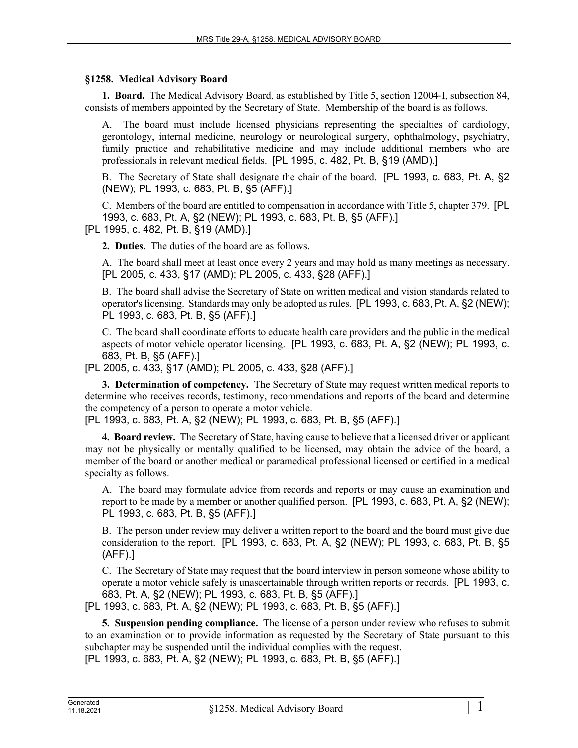## **§1258. Medical Advisory Board**

**1. Board.** The Medical Advisory Board, as established by Title 5, section 12004-I, subsection 84, consists of members appointed by the Secretary of State. Membership of the board is as follows.

A. The board must include licensed physicians representing the specialties of cardiology, gerontology, internal medicine, neurology or neurological surgery, ophthalmology, psychiatry, family practice and rehabilitative medicine and may include additional members who are professionals in relevant medical fields. [PL 1995, c. 482, Pt. B, §19 (AMD).]

B. The Secretary of State shall designate the chair of the board. [PL 1993, c. 683, Pt. A, §2 (NEW); PL 1993, c. 683, Pt. B, §5 (AFF).]

C. Members of the board are entitled to compensation in accordance with Title 5, chapter 379. [PL 1993, c. 683, Pt. A, §2 (NEW); PL 1993, c. 683, Pt. B, §5 (AFF).]

[PL 1995, c. 482, Pt. B, §19 (AMD).]

**2. Duties.** The duties of the board are as follows.

A. The board shall meet at least once every 2 years and may hold as many meetings as necessary. [PL 2005, c. 433, §17 (AMD); PL 2005, c. 433, §28 (AFF).]

B. The board shall advise the Secretary of State on written medical and vision standards related to operator's licensing. Standards may only be adopted as rules. [PL 1993, c. 683, Pt. A, §2 (NEW); PL 1993, c. 683, Pt. B, §5 (AFF).]

C. The board shall coordinate efforts to educate health care providers and the public in the medical aspects of motor vehicle operator licensing. [PL 1993, c. 683, Pt. A, §2 (NEW); PL 1993, c. 683, Pt. B, §5 (AFF).]

[PL 2005, c. 433, §17 (AMD); PL 2005, c. 433, §28 (AFF).]

**3. Determination of competency.** The Secretary of State may request written medical reports to determine who receives records, testimony, recommendations and reports of the board and determine the competency of a person to operate a motor vehicle.

[PL 1993, c. 683, Pt. A, §2 (NEW); PL 1993, c. 683, Pt. B, §5 (AFF).]

**4. Board review.** The Secretary of State, having cause to believe that a licensed driver or applicant may not be physically or mentally qualified to be licensed, may obtain the advice of the board, a member of the board or another medical or paramedical professional licensed or certified in a medical specialty as follows.

A. The board may formulate advice from records and reports or may cause an examination and report to be made by a member or another qualified person. [PL 1993, c. 683, Pt. A, §2 (NEW); PL 1993, c. 683, Pt. B, §5 (AFF).]

B. The person under review may deliver a written report to the board and the board must give due consideration to the report. [PL 1993, c. 683, Pt. A, §2 (NEW); PL 1993, c. 683, Pt. B, §5 (AFF).]

C. The Secretary of State may request that the board interview in person someone whose ability to operate a motor vehicle safely is unascertainable through written reports or records. [PL 1993, c. 683, Pt. A, §2 (NEW); PL 1993, c. 683, Pt. B, §5 (AFF).]

[PL 1993, c. 683, Pt. A, §2 (NEW); PL 1993, c. 683, Pt. B, §5 (AFF).]

**5. Suspension pending compliance.** The license of a person under review who refuses to submit to an examination or to provide information as requested by the Secretary of State pursuant to this subchapter may be suspended until the individual complies with the request.

[PL 1993, c. 683, Pt. A, §2 (NEW); PL 1993, c. 683, Pt. B, §5 (AFF).]